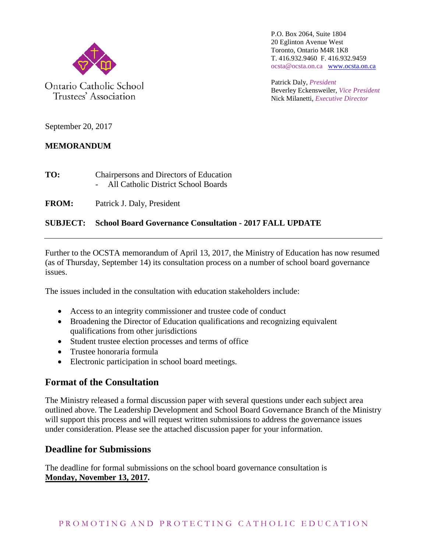

Trustees' Association

P.O. Box 2064, Suite 1804 20 Eglinton Avenue West Toronto, Ontario M4R 1K8 T. 416.932.9460 F. 416.932.9459 ocsta@ocsta.on.ca [www.ocsta.on.ca](http://www.ocsta.on.ca/)

Patrick Daly, *President* Beverley Eckensweiler, *Vice President* Nick Milanetti, *Executive Director*

September 20, 2017

#### **MEMORANDUM**

| TO: | Chairpersons and Directors of Education |
|-----|-----------------------------------------|
|     | All Catholic District School Boards     |

**FROM:** Patrick J. Daly, President

#### **SUBJECT: School Board Governance Consultation - 2017 FALL UPDATE**

Further to the OCSTA memorandum of April 13, 2017, the Ministry of Education has now resumed (as of Thursday, September 14) its consultation process on a number of school board governance issues.

The issues included in the consultation with education stakeholders include:

- Access to an integrity commissioner and trustee code of conduct
- Broadening the Director of Education qualifications and recognizing equivalent qualifications from other jurisdictions
- Student trustee election processes and terms of office
- Trustee honoraria formula
- Electronic participation in school board meetings.

## **Format of the Consultation**

The Ministry released a formal discussion paper with several questions under each subject area outlined above. The Leadership Development and School Board Governance Branch of the Ministry will support this process and will request written submissions to address the governance issues under consideration. Please see the attached discussion paper for your information.

## **Deadline for Submissions**

The deadline for formal submissions on the school board governance consultation is **Monday, November 13, 2017.**